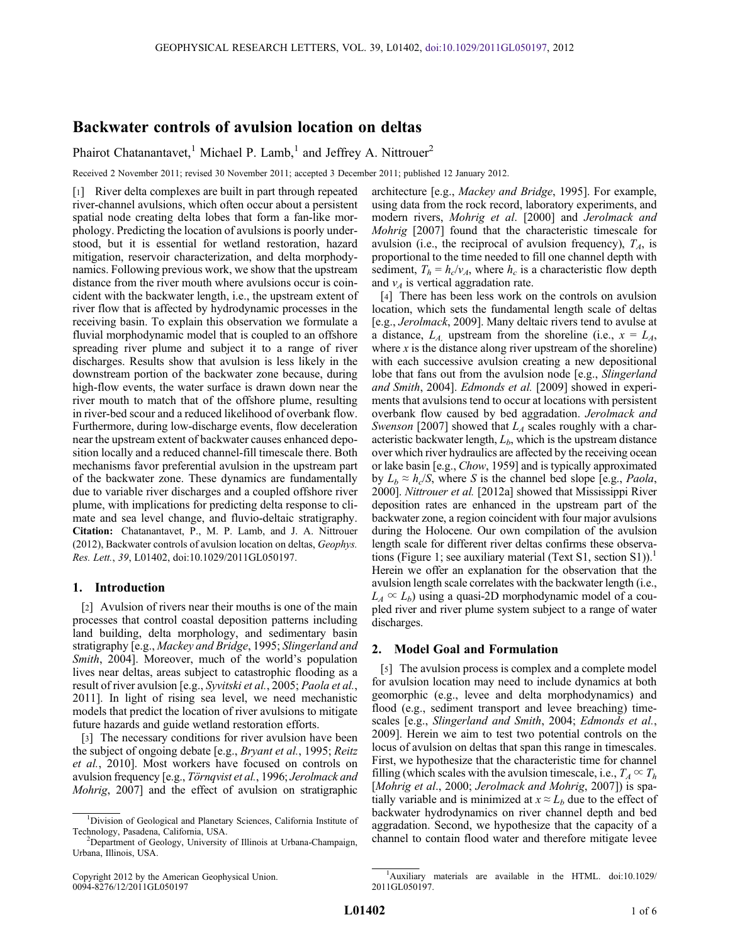# Backwater controls of avulsion location on deltas

Phairot Chatanantavet,<sup>1</sup> Michael P. Lamb,<sup>1</sup> and Jeffrey A. Nittrouer<sup>2</sup>

Received 2 November 2011; revised 30 November 2011; accepted 3 December 2011; published 12 January 2012.

[1] River delta complexes are built in part through repeated river-channel avulsions, which often occur about a persistent spatial node creating delta lobes that form a fan-like morphology. Predicting the location of avulsions is poorly understood, but it is essential for wetland restoration, hazard mitigation, reservoir characterization, and delta morphodynamics. Following previous work, we show that the upstream distance from the river mouth where avulsions occur is coincident with the backwater length, i.e., the upstream extent of river flow that is affected by hydrodynamic processes in the receiving basin. To explain this observation we formulate a fluvial morphodynamic model that is coupled to an offshore spreading river plume and subject it to a range of river discharges. Results show that avulsion is less likely in the downstream portion of the backwater zone because, during high-flow events, the water surface is drawn down near the river mouth to match that of the offshore plume, resulting in river-bed scour and a reduced likelihood of overbank flow. Furthermore, during low-discharge events, flow deceleration near the upstream extent of backwater causes enhanced deposition locally and a reduced channel-fill timescale there. Both mechanisms favor preferential avulsion in the upstream part of the backwater zone. These dynamics are fundamentally due to variable river discharges and a coupled offshore river plume, with implications for predicting delta response to climate and sea level change, and fluvio-deltaic stratigraphy. Citation: Chatanantavet, P., M. P. Lamb, and J. A. Nittrouer (2012), Backwater controls of avulsion location on deltas, Geophys. Res. Lett., 39, L01402, doi:10.1029/2011GL050197.

### 1. Introduction

[2] Avulsion of rivers near their mouths is one of the main processes that control coastal deposition patterns including land building, delta morphology, and sedimentary basin stratigraphy [e.g., Mackey and Bridge, 1995; Slingerland and Smith, 2004]. Moreover, much of the world's population lives near deltas, areas subject to catastrophic flooding as a result of river avulsion [e.g., Syvitski et al., 2005; Paola et al., 2011]. In light of rising sea level, we need mechanistic models that predict the location of river avulsions to mitigate future hazards and guide wetland restoration efforts.

[3] The necessary conditions for river avulsion have been the subject of ongoing debate [e.g., *Bryant et al.*, 1995; *Reitz* et al., 2010]. Most workers have focused on controls on avulsion frequency [e.g., Törnqvist et al., 1996; Jerolmack and Mohrig, 2007] and the effect of avulsion on stratigraphic architecture [e.g., Mackey and Bridge, 1995]. For example, using data from the rock record, laboratory experiments, and modern rivers, Mohrig et al. [2000] and Jerolmack and Mohrig [2007] found that the characteristic timescale for avulsion (i.e., the reciprocal of avulsion frequency),  $T_A$ , is proportional to the time needed to fill one channel depth with sediment,  $T_h = h_c/v_A$ , where  $h_c$  is a characteristic flow depth and  $v_A$  is vertical aggradation rate.

[4] There has been less work on the controls on avulsion location, which sets the fundamental length scale of deltas [e.g., Jerolmack, 2009]. Many deltaic rivers tend to avulse at a distance,  $L_A$  upstream from the shoreline (i.e.,  $x = L_A$ , where  $x$  is the distance along river upstream of the shoreline) with each successive avulsion creating a new depositional lobe that fans out from the avulsion node [e.g., Slingerland and Smith, 2004]. Edmonds et al. [2009] showed in experiments that avulsions tend to occur at locations with persistent overbank flow caused by bed aggradation. Jerolmack and Swenson [2007] showed that  $L_A$  scales roughly with a characteristic backwater length,  $L<sub>b</sub>$ , which is the upstream distance over which river hydraulics are affected by the receiving ocean or lake basin [e.g., Chow, 1959] and is typically approximated by  $L_b \approx h_c/S$ , where S is the channel bed slope [e.g., *Paola*, 2000]. Nittrouer et al. [2012a] showed that Mississippi River deposition rates are enhanced in the upstream part of the backwater zone, a region coincident with four major avulsions during the Holocene. Our own compilation of the avulsion length scale for different river deltas confirms these observations (Figure 1; see auxiliary material (Text S1, section S1)).<sup>1</sup> Herein we offer an explanation for the observation that the avulsion length scale correlates with the backwater length (i.e.,  $L_A \propto L_b$ ) using a quasi-2D morphodynamic model of a coupled river and river plume system subject to a range of water discharges.

## 2. Model Goal and Formulation

[5] The avulsion process is complex and a complete model for avulsion location may need to include dynamics at both geomorphic (e.g., levee and delta morphodynamics) and flood (e.g., sediment transport and levee breaching) timescales [e.g., Slingerland and Smith, 2004; Edmonds et al., 2009]. Herein we aim to test two potential controls on the locus of avulsion on deltas that span this range in timescales. First, we hypothesize that the characteristic time for channel filling (which scales with the avulsion timescale, i.e.,  $T_A \propto T_h$ [Mohrig et al., 2000; Jerolmack and Mohrig, 2007]) is spatially variable and is minimized at  $x \approx L_b$  due to the effect of backwater hydrodynamics on river channel depth and bed aggradation. Second, we hypothesize that the capacity of a channel to contain flood water and therefore mitigate levee

<sup>1</sup>Auxiliary materials are available in the HTML. doi:10.1029/

<sup>&</sup>lt;sup>1</sup>Division of Geological and Planetary Sciences, California Institute of Technology, Pasadena, California, USA. <sup>2</sup>

<sup>&</sup>lt;sup>2</sup>Department of Geology, University of Illinois at Urbana-Champaign, Urbana, Illinois, USA.

Copyright 2012 by the American Geophysical Union. 0094-8276/12/2011GL050197

<sup>2011</sup>GL050197.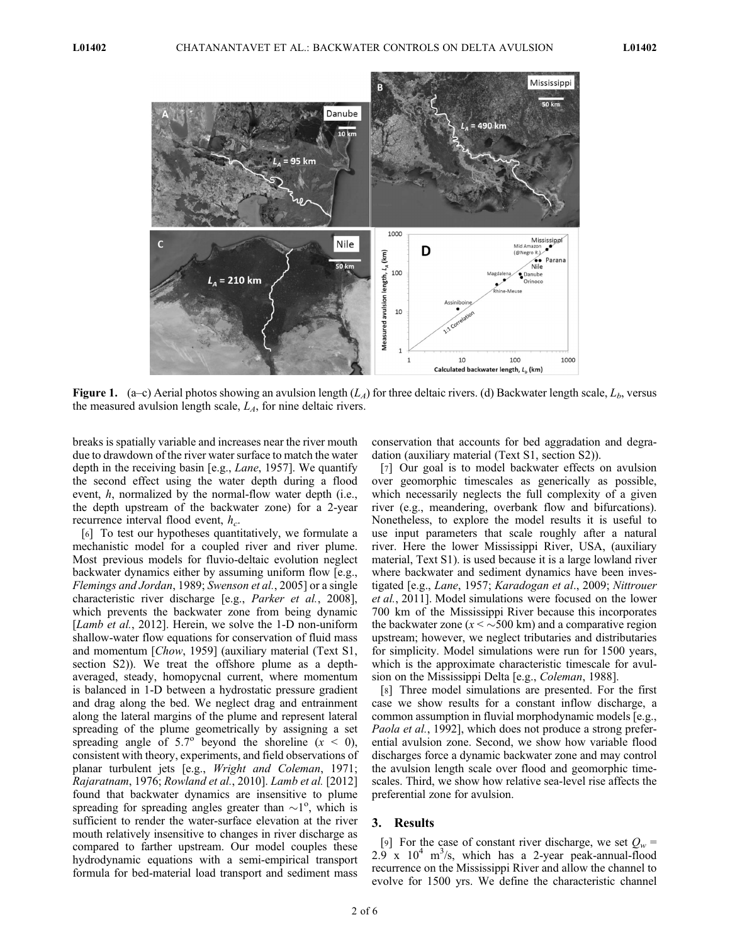

**Figure 1.** (a–c) Aerial photos showing an avulsion length  $(L_A)$  for three deltaic rivers. (d) Backwater length scale,  $L_b$ , versus the measured avulsion length scale,  $L_A$ , for nine deltaic rivers.

breaks is spatially variable and increases near the river mouth due to drawdown of the river water surface to match the water depth in the receiving basin [e.g., Lane, 1957]. We quantify the second effect using the water depth during a flood event, *h*, normalized by the normal-flow water depth (i.e., the depth upstream of the backwater zone) for a 2-year recurrence interval flood event,  $h_c$ .

[6] To test our hypotheses quantitatively, we formulate a mechanistic model for a coupled river and river plume. Most previous models for fluvio-deltaic evolution neglect backwater dynamics either by assuming uniform flow [e.g., Flemings and Jordan, 1989; Swenson et al., 2005] or a single characteristic river discharge [e.g., Parker et al., 2008], which prevents the backwater zone from being dynamic [*Lamb et al.*, 2012]. Herein, we solve the 1-D non-uniform shallow-water flow equations for conservation of fluid mass and momentum [Chow, 1959] (auxiliary material (Text S1, section S2)). We treat the offshore plume as a depthaveraged, steady, homopycnal current, where momentum is balanced in 1-D between a hydrostatic pressure gradient and drag along the bed. We neglect drag and entrainment along the lateral margins of the plume and represent lateral spreading of the plume geometrically by assigning a set spreading angle of 5.7° beyond the shoreline  $(x < 0)$ , consistent with theory, experiments, and field observations of planar turbulent jets [e.g., Wright and Coleman, 1971; Rajaratnam, 1976; Rowland et al., 2010]. Lamb et al. [2012] found that backwater dynamics are insensitive to plume spreading for spreading angles greater than  $\sim$ 1°, which is sufficient to render the water-surface elevation at the river mouth relatively insensitive to changes in river discharge as compared to farther upstream. Our model couples these hydrodynamic equations with a semi-empirical transport formula for bed-material load transport and sediment mass

conservation that accounts for bed aggradation and degradation (auxiliary material (Text S1, section S2)).

[7] Our goal is to model backwater effects on avulsion over geomorphic timescales as generically as possible, which necessarily neglects the full complexity of a given river (e.g., meandering, overbank flow and bifurcations). Nonetheless, to explore the model results it is useful to use input parameters that scale roughly after a natural river. Here the lower Mississippi River, USA, (auxiliary material, Text S1). is used because it is a large lowland river where backwater and sediment dynamics have been investigated [e.g., Lane, 1957; Karadogan et al., 2009; Nittrouer et al., 2011]. Model simulations were focused on the lower 700 km of the Mississippi River because this incorporates the backwater zone ( $x < \sim 500$  km) and a comparative region upstream; however, we neglect tributaries and distributaries for simplicity. Model simulations were run for 1500 years, which is the approximate characteristic timescale for avulsion on the Mississippi Delta [e.g., Coleman, 1988].

[8] Three model simulations are presented. For the first case we show results for a constant inflow discharge, a common assumption in fluvial morphodynamic models [e.g., Paola et al., 1992], which does not produce a strong preferential avulsion zone. Second, we show how variable flood discharges force a dynamic backwater zone and may control the avulsion length scale over flood and geomorphic timescales. Third, we show how relative sea-level rise affects the preferential zone for avulsion.

#### 3. Results

[9] For the case of constant river discharge, we set  $Q_w$  =  $2.9 \text{ x}$   $10^4$  m<sup>3</sup>/s, which has a 2-year peak-annual-flood recurrence on the Mississippi River and allow the channel to evolve for 1500 yrs. We define the characteristic channel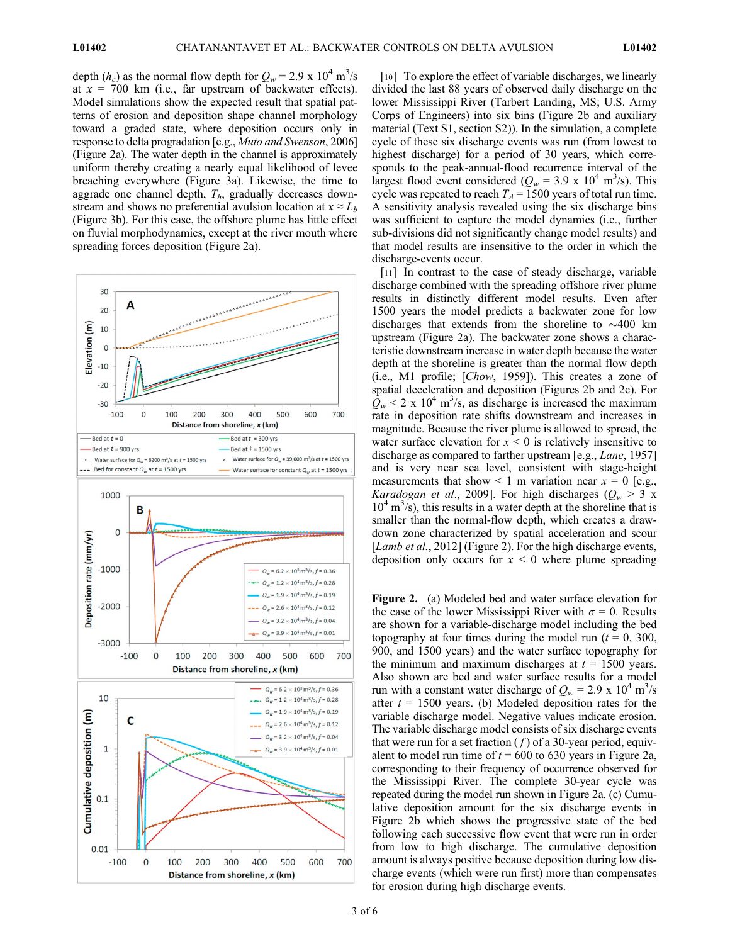depth  $(h_c)$  as the normal flow depth for  $Q_w = 2.9 \times 10^4 \text{ m}^3/\text{s}$ at  $x = 700$  km (i.e., far upstream of backwater effects). Model simulations show the expected result that spatial patterns of erosion and deposition shape channel morphology toward a graded state, where deposition occurs only in response to delta progradation [e.g., Muto and Swenson, 2006] (Figure 2a). The water depth in the channel is approximately uniform thereby creating a nearly equal likelihood of levee breaching everywhere (Figure 3a). Likewise, the time to aggrade one channel depth,  $T<sub>h</sub>$ , gradually decreases downstream and shows no preferential avulsion location at  $x \approx L_b$ (Figure 3b). For this case, the offshore plume has little effect on fluvial morphodynamics, except at the river mouth where spreading forces deposition (Figure 2a).



[10] To explore the effect of variable discharges, we linearly divided the last 88 years of observed daily discharge on the lower Mississippi River (Tarbert Landing, MS; U.S. Army Corps of Engineers) into six bins (Figure 2b and auxiliary material (Text S1, section S2)). In the simulation, a complete cycle of these six discharge events was run (from lowest to highest discharge) for a period of 30 years, which corresponds to the peak-annual-flood recurrence interval of the largest flood event considered ( $Q_w = 3.9 \times 10^4$  m<sup>3</sup>/s). This cycle was repeated to reach  $T_A = 1500$  years of total run time. A sensitivity analysis revealed using the six discharge bins was sufficient to capture the model dynamics (i.e., further sub-divisions did not significantly change model results) and that model results are insensitive to the order in which the discharge-events occur.

[11] In contrast to the case of steady discharge, variable discharge combined with the spreading offshore river plume results in distinctly different model results. Even after 1500 years the model predicts a backwater zone for low discharges that extends from the shoreline to  $\sim$ 400 km upstream (Figure 2a). The backwater zone shows a characteristic downstream increase in water depth because the water depth at the shoreline is greater than the normal flow depth (i.e., M1 profile; [Chow, 1959]). This creates a zone of spatial deceleration and deposition (Figures 2b and 2c). For  $Q_w < 2 \times 10^4$  m<sup>3</sup>/s, as discharge is increased the maximum rate in deposition rate shifts downstream and increases in magnitude. Because the river plume is allowed to spread, the water surface elevation for  $x \leq 0$  is relatively insensitive to discharge as compared to farther upstream [e.g., *Lane*, 1957] and is very near sea level, consistent with stage-height measurements that show  $\leq 1$  m variation near  $x = 0$  [e.g., Karadogan et al., 2009]. For high discharges ( $Q_w > 3$  x  $10^4$  m<sup>3</sup>/s), this results in a water depth at the shoreline that is smaller than the normal-flow depth, which creates a drawdown zone characterized by spatial acceleration and scour [*Lamb et al.*, 2012] (Figure 2). For the high discharge events, deposition only occurs for  $x < 0$  where plume spreading

Figure 2. (a) Modeled bed and water surface elevation for the case of the lower Mississippi River with  $\sigma = 0$ . Results are shown for a variable-discharge model including the bed topography at four times during the model run ( $t = 0$ , 300, 900, and 1500 years) and the water surface topography for the minimum and maximum discharges at  $t = 1500$  years. Also shown are bed and water surface results for a model run with a constant water discharge of  $Q_w = 2.9 \times 10^4 \text{ m}^3/\text{s}$ after  $t = 1500$  years. (b) Modeled deposition rates for the variable discharge model. Negative values indicate erosion. The variable discharge model consists of six discharge events that were run for a set fraction  $(f)$  of a 30-year period, equivalent to model run time of  $t = 600$  to 630 years in Figure 2a, corresponding to their frequency of occurrence observed for the Mississippi River. The complete 30-year cycle was repeated during the model run shown in Figure 2a. (c) Cumulative deposition amount for the six discharge events in Figure 2b which shows the progressive state of the bed following each successive flow event that were run in order from low to high discharge. The cumulative deposition amount is always positive because deposition during low discharge events (which were run first) more than compensates for erosion during high discharge events.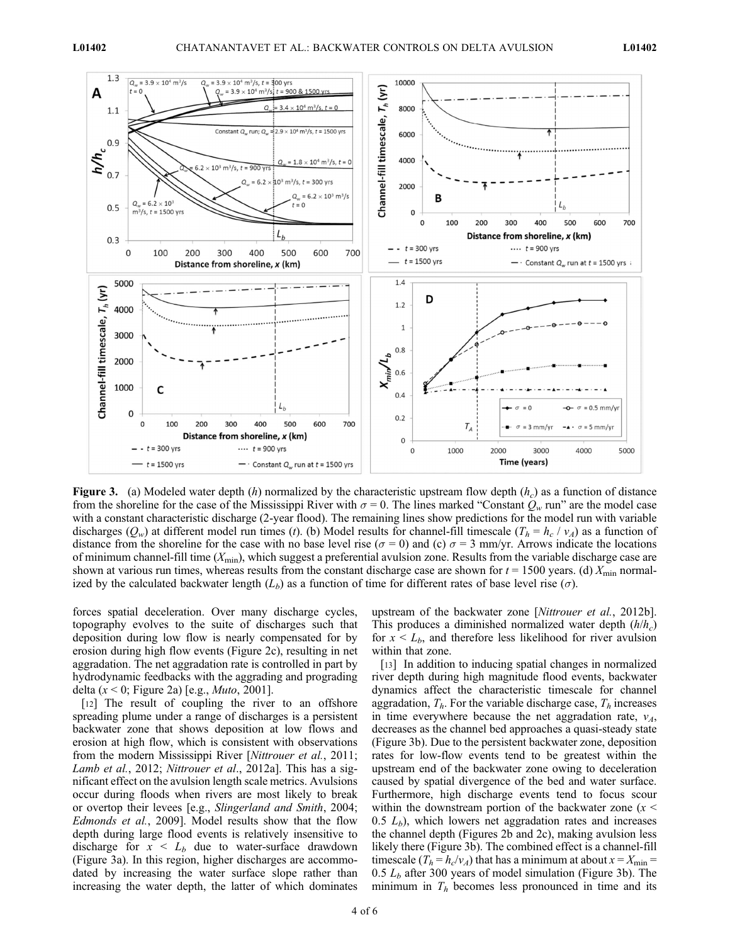

**Figure 3.** (a) Modeled water depth  $(h)$  normalized by the characteristic upstream flow depth  $(h_c)$  as a function of distance from the shoreline for the case of the Mississippi River with  $\sigma = 0$ . The lines marked "Constant  $Q_w$  run" are the model case with a constant characteristic discharge (2-year flood). The remaining lines show predictions for the model run with variable discharges  $(Q_w)$  at different model run times (t). (b) Model results for channel-fill timescale  $(T_h = h_c / v_A)$  as a function of distance from the shoreline for the case with no base level rise ( $\sigma = 0$ ) and (c)  $\sigma = 3$  mm/yr. Arrows indicate the locations of minimum channel-fill time  $(X_{min})$ , which suggest a preferential avulsion zone. Results from the variable discharge case are shown at various run times, whereas results from the constant discharge case are shown for  $t = 1500$  years. (d)  $X_{\text{min}}$  normalized by the calculated backwater length  $(L_b)$  as a function of time for different rates of base level rise  $(\sigma)$ .

forces spatial deceleration. Over many discharge cycles, topography evolves to the suite of discharges such that deposition during low flow is nearly compensated for by erosion during high flow events (Figure 2c), resulting in net aggradation. The net aggradation rate is controlled in part by hydrodynamic feedbacks with the aggrading and prograding delta ( $x < 0$ ; Figure 2a) [e.g., *Muto*, 2001].

[12] The result of coupling the river to an offshore spreading plume under a range of discharges is a persistent backwater zone that shows deposition at low flows and erosion at high flow, which is consistent with observations from the modern Mississippi River [Nittrouer et al., 2011; Lamb et al., 2012; Nittrouer et al., 2012a]. This has a significant effect on the avulsion length scale metrics. Avulsions occur during floods when rivers are most likely to break or overtop their levees [e.g., Slingerland and Smith, 2004; Edmonds et al., 2009]. Model results show that the flow depth during large flood events is relatively insensitive to discharge for  $x \leq L_b$  due to water-surface drawdown (Figure 3a). In this region, higher discharges are accommodated by increasing the water surface slope rather than increasing the water depth, the latter of which dominates

upstream of the backwater zone [Nittrouer et al., 2012b]. This produces a diminished normalized water depth  $(h/h_c)$ for  $x \leq L_b$ , and therefore less likelihood for river avulsion within that zone.

[13] In addition to inducing spatial changes in normalized river depth during high magnitude flood events, backwater dynamics affect the characteristic timescale for channel aggradation,  $T<sub>h</sub>$ . For the variable discharge case,  $T<sub>h</sub>$  increases in time everywhere because the net aggradation rate,  $v<sub>4</sub>$ , decreases as the channel bed approaches a quasi-steady state (Figure 3b). Due to the persistent backwater zone, deposition rates for low-flow events tend to be greatest within the upstream end of the backwater zone owing to deceleration caused by spatial divergence of the bed and water surface. Furthermore, high discharge events tend to focus scour within the downstream portion of the backwater zone ( $x$  < 0.5  $L<sub>b</sub>$ ), which lowers net aggradation rates and increases the channel depth (Figures 2b and 2c), making avulsion less likely there (Figure 3b). The combined effect is a channel-fill timescale ( $T_h = h_c/v_A$ ) that has a minimum at about  $x = X_{min}$ 0.5  $L_b$  after 300 years of model simulation (Figure 3b). The minimum in  $T<sub>h</sub>$  becomes less pronounced in time and its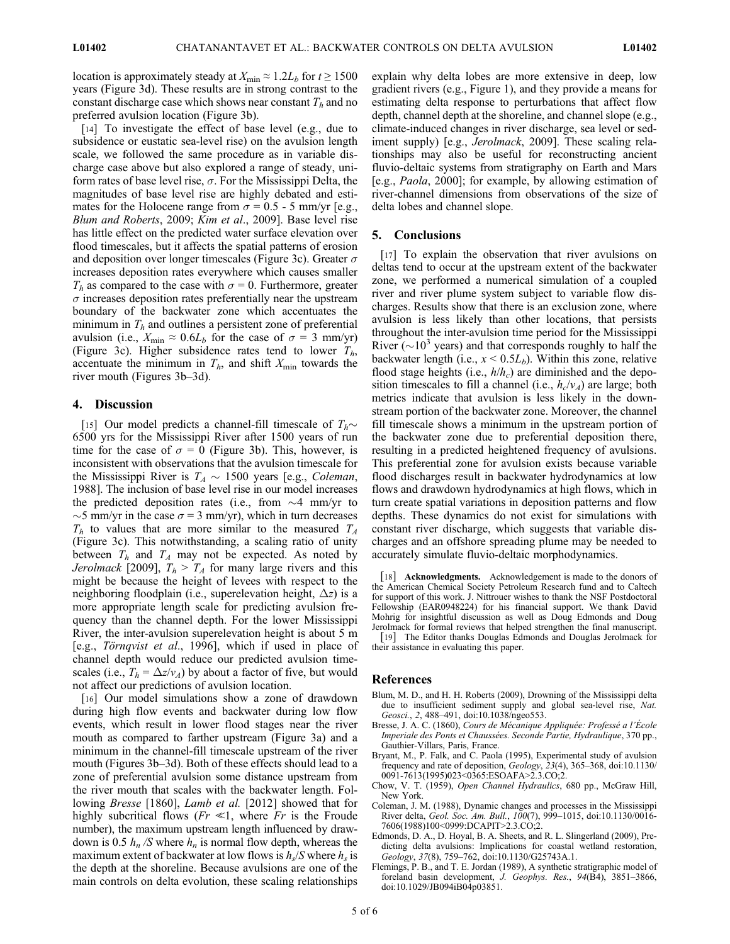location is approximately steady at  $X_{\text{min}} \approx 1.2L_b$  for  $t \ge 1500$ years (Figure 3d). These results are in strong contrast to the constant discharge case which shows near constant  $T_h$  and no preferred avulsion location (Figure 3b).

[14] To investigate the effect of base level (e.g., due to subsidence or eustatic sea-level rise) on the avulsion length scale, we followed the same procedure as in variable discharge case above but also explored a range of steady, uniform rates of base level rise,  $\sigma$ . For the Mississippi Delta, the magnitudes of base level rise are highly debated and estimates for the Holocene range from  $\sigma = 0.5$  - 5 mm/yr [e.g., Blum and Roberts, 2009; Kim et al., 2009]. Base level rise has little effect on the predicted water surface elevation over flood timescales, but it affects the spatial patterns of erosion and deposition over longer timescales (Figure 3c). Greater  $\sigma$ increases deposition rates everywhere which causes smaller  $T_h$  as compared to the case with  $\sigma = 0$ . Furthermore, greater  $\sigma$  increases deposition rates preferentially near the upstream boundary of the backwater zone which accentuates the minimum in  $T<sub>h</sub>$  and outlines a persistent zone of preferential avulsion (i.e.,  $X_{\text{min}} \approx 0.6L_b$  for the case of  $\sigma = 3$  mm/yr) (Figure 3c). Higher subsidence rates tend to lower  $T_h$ , accentuate the minimum in  $T_h$ , and shift  $X_{\text{min}}$  towards the river mouth (Figures 3b–3d).

#### 4. Discussion

[15] Our model predicts a channel-fill timescale of  $T_h \sim$ 6500 yrs for the Mississippi River after 1500 years of run time for the case of  $\sigma = 0$  (Figure 3b). This, however, is inconsistent with observations that the avulsion timescale for the Mississippi River is  $T_A \sim 1500$  years [e.g., *Coleman*, 1988]. The inclusion of base level rise in our model increases the predicted deposition rates (i.e., from  $\sim$ 4 mm/yr to  $\sim$ 5 mm/yr in the case  $\sigma$  = 3 mm/yr), which in turn decreases  $T<sub>h</sub>$  to values that are more similar to the measured  $T<sub>A</sub>$ (Figure 3c). This notwithstanding, a scaling ratio of unity between  $T_h$  and  $T_A$  may not be expected. As noted by Jerolmack [2009],  $T_h > T_A$  for many large rivers and this might be because the height of levees with respect to the neighboring floodplain (i.e., superelevation height,  $\Delta z$ ) is a more appropriate length scale for predicting avulsion frequency than the channel depth. For the lower Mississippi River, the inter-avulsion superelevation height is about 5 m [e.g., Törnqvist et al., 1996], which if used in place of channel depth would reduce our predicted avulsion timescales (i.e.,  $T_h = \Delta z / v_A$ ) by about a factor of five, but would not affect our predictions of avulsion location.

[16] Our model simulations show a zone of drawdown during high flow events and backwater during low flow events, which result in lower flood stages near the river mouth as compared to farther upstream (Figure 3a) and a minimum in the channel-fill timescale upstream of the river mouth (Figures 3b–3d). Both of these effects should lead to a zone of preferential avulsion some distance upstream from the river mouth that scales with the backwater length. Following *Bresse* [1860], *Lamb et al.* [2012] showed that for highly subcritical flows ( $Fr \ll 1$ , where  $Fr$  is the Froude number), the maximum upstream length influenced by drawdown is 0.5  $h_n$  /S where  $h_n$  is normal flow depth, whereas the maximum extent of backwater at low flows is  $h_s/S$  where  $h_s$  is the depth at the shoreline. Because avulsions are one of the main controls on delta evolution, these scaling relationships

explain why delta lobes are more extensive in deep, low gradient rivers (e.g., Figure 1), and they provide a means for estimating delta response to perturbations that affect flow depth, channel depth at the shoreline, and channel slope (e.g., climate-induced changes in river discharge, sea level or sediment supply) [e.g., *Jerolmack*, 2009]. These scaling relationships may also be useful for reconstructing ancient fluvio-deltaic systems from stratigraphy on Earth and Mars [e.g., Paola, 2000]; for example, by allowing estimation of river-channel dimensions from observations of the size of delta lobes and channel slope.

#### 5. Conclusions

[17] To explain the observation that river avulsions on deltas tend to occur at the upstream extent of the backwater zone, we performed a numerical simulation of a coupled river and river plume system subject to variable flow discharges. Results show that there is an exclusion zone, where avulsion is less likely than other locations, that persists throughout the inter-avulsion time period for the Mississippi River ( $\sim$ 10<sup>3</sup> years) and that corresponds roughly to half the backwater length (i.e.,  $x < 0.5L_b$ ). Within this zone, relative flood stage heights (i.e.,  $h/h_c$ ) are diminished and the deposition timescales to fill a channel (i.e.,  $h_c/v_A$ ) are large; both metrics indicate that avulsion is less likely in the downstream portion of the backwater zone. Moreover, the channel fill timescale shows a minimum in the upstream portion of the backwater zone due to preferential deposition there, resulting in a predicted heightened frequency of avulsions. This preferential zone for avulsion exists because variable flood discharges result in backwater hydrodynamics at low flows and drawdown hydrodynamics at high flows, which in turn create spatial variations in deposition patterns and flow depths. These dynamics do not exist for simulations with constant river discharge, which suggests that variable discharges and an offshore spreading plume may be needed to accurately simulate fluvio-deltaic morphodynamics.

[18] **Acknowledgments.** Acknowledgement is made to the donors of the American Chemical Society Petroleum Research fund and to Caltech for support of this work. J. Nittrouer wishes to thank the NSF Postdoctoral Fellowship (EAR0948224) for his financial support. We thank David Mohrig for insightful discussion as well as Doug Edmonds and Doug Jerolmack for formal reviews that helped strengthen the final manuscript.

[19] The Editor thanks Douglas Edmonds and Douglas Jerolmack for their assistance in evaluating this paper.

#### References

- Blum, M. D., and H. H. Roberts (2009), Drowning of the Mississippi delta due to insufficient sediment supply and global sea-level rise, Nat. Geosci., 2, 488–491, doi:10.1038/ngeo553.
- Bresse, J. A. C. (1860), Cours de Mécanique Appliquée: Professé a l'École Imperiale des Ponts et Chaussées. Seconde Partie, Hydraulique, 370 pp., Gauthier-Villars, Paris, France.
- Bryant, M., P. Falk, and C. Paola (1995), Experimental study of avulsion frequency and rate of deposition, Geology, 23(4), 365–368, doi:10.1130/ 0091-7613(1995)023<0365:ESOAFA>2.3.CO;2.
- Chow, V. T. (1959), Open Channel Hydraulics, 680 pp., McGraw Hill, New York.
- Coleman, J. M. (1988), Dynamic changes and processes in the Mississippi River delta, Geol. Soc. Am. Bull., 100(7), 999–1015, doi:10.1130/0016- 7606(1988)100<0999:DCAPIT>2.3.CO;2.
- Edmonds, D. A., D. Hoyal, B. A. Sheets, and R. L. Slingerland (2009), Predicting delta avulsions: Implications for coastal wetland restoration, Geology, 37(8), 759–762, doi:10.1130/G25743A.1.
- Flemings, P. B., and T. E. Jordan (1989), A synthetic stratigraphic model of foreland basin development, J. Geophys. Res., 94(B4), 3851-3866, doi:10.1029/JB094iB04p03851.